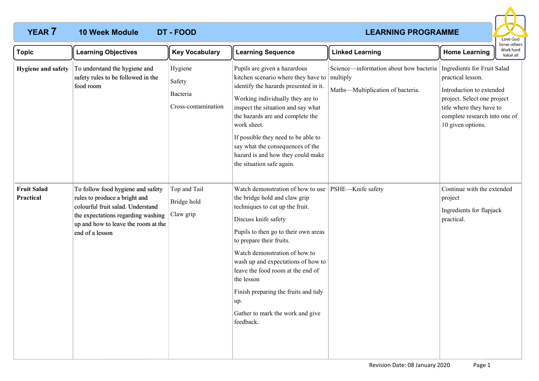## **10 Week Module**

# **YEAR 7 LEARNING PROGRAMME**



| <b>Topic</b>                    | <b>Learning Objectives</b>                                                                                                                                                                              | <b>Key Vocabulary</b>                                | <b>Learning Sequence</b>                                                                                                                                                                                                                                                                                                                                                                                                    | <b>Linked Learning</b>                                                                  | יכו עכ טנווכו.<br>Work hard<br><b>Home Learning</b><br>Value all                                                                                                                              |
|---------------------------------|---------------------------------------------------------------------------------------------------------------------------------------------------------------------------------------------------------|------------------------------------------------------|-----------------------------------------------------------------------------------------------------------------------------------------------------------------------------------------------------------------------------------------------------------------------------------------------------------------------------------------------------------------------------------------------------------------------------|-----------------------------------------------------------------------------------------|-----------------------------------------------------------------------------------------------------------------------------------------------------------------------------------------------|
| Hygiene and safety              | To understand the hygiene and<br>safety rules to be followed in the<br>food room                                                                                                                        | Hygiene<br>Safety<br>Bacteria<br>Cross-contamination | Pupils are given a hazardous<br>kitchen scenario where they have to<br>identify the hazards presented in it.<br>Working individually they are to<br>inspect the situation and say what<br>the hazards are and complete the<br>work sheet.<br>If possible they need to be able to<br>say what the consequences of the<br>hazard is and how they could make<br>the situation safe again.                                      | Science—information about how bacteria<br>multiply<br>Maths-Multiplication of bacteria. | Ingredients for Fruit Salad<br>practical lesson.<br>Introduction to extended<br>project. Select one project<br>title where they have to<br>complete research into one of<br>10 given options. |
| <b>Fruit Salad</b><br>Practical | To follow food hygiene and safety<br>rules to produce a bright and<br>colourful fruit salad. Understand<br>the expectations regarding washing<br>up and how to leave the room at the<br>end of a lesson | Top and Tail<br>Bridge hold<br>Claw grip             | Watch demonstration of how to use<br>the bridge hold and claw grip<br>techniques to cut up the fruit.<br>Discuss knife safety<br>Pupils to then go to their own areas<br>to prepare their fruits.<br>Watch demonstration of how to<br>wash up and expectations of how to<br>leave the food room at the end of<br>the lesson<br>Finish preparing the fruits and tidy<br>up.<br>Gather to mark the work and give<br>feedback. | PSHE-Knife safety                                                                       | Continue with the extended<br>project<br>Ingredients for flapjack<br>practical.                                                                                                               |